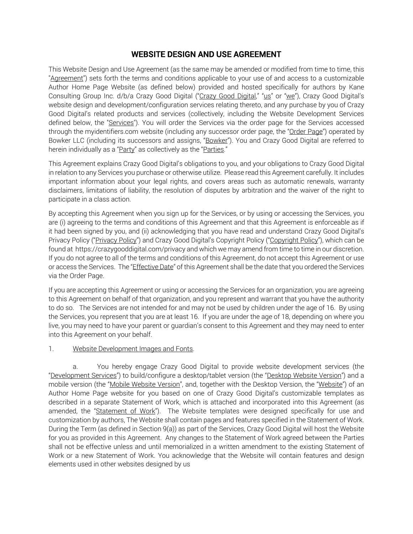# WEBSITE DESIGN AND USE AGREEMENT

This Website Design and Use Agreement (as the same may be amended or modified from time to time, this "Agreement") sets forth the terms and conditions applicable to your use of and access to a customizable Author Home Page Website (as defined below) provided and hosted specifically for authors by Kane Consulting Group Inc. d/b/a Crazy Good Digital ("Crazy Good Digital," "us" or "we"), Crazy Good Digital's website design and development/configuration services relating thereto, and any purchase by you of Crazy Good Digital's related products and services (collectively, including the Website Development Services defined below, the "Services"). You will order the Services via the order page for the Services accessed through the myidentifiers.com website (including any successor order page, the "Order Page") operated by Bowker LLC (including its successors and assigns, "Bowker"). You and Crazy Good Digital are referred to herein individually as a "Party" as collectively as the "Parties."

This Agreement explains Crazy Good Digital's obligations to you, and your obligations to Crazy Good Digital in relation to any Services you purchase or otherwise utilize. Please read this Agreement carefully. It includes important information about your legal rights, and covers areas such as automatic renewals, warranty disclaimers, limitations of liability, the resolution of disputes by arbitration and the waiver of the right to participate in a class action.

By accepting this Agreement when you sign up for the Services, or by using or accessing the Services, you are (i) agreeing to the terms and conditions of this Agreement and that this Agreement is enforceable as if it had been signed by you, and (ii) acknowledging that you have read and understand Crazy Good Digital's Privacy Policy ("Privacy Policy") and Crazy Good Digital's Copyright Policy ("Copyright Policy"), which can be found at https://crazygooddigital.com/privacy and which we may amend from time to time in our discretion. If you do not agree to all of the terms and conditions of this Agreement, do not accept this Agreement or use or access the Services. The "*Effective Date"* of this Agreement shall be the date that you ordered the Services via the Order Page.

If you are accepting this Agreement or using or accessing the Services for an organization, you are agreeing to this Agreement on behalf of that organization, and you represent and warrant that you have the authority to do so. The Services are not intended for and may not be used by children under the age of 16. By using the Services, you represent that you are at least 16. If you are under the age of 18, depending on where you live, you may need to have your parent or guardian's consent to this Agreement and they may need to enter into this Agreement on your behalf.

### 1. Website Development Images and Fonts.

a. You hereby engage Crazy Good Digital to provide website development services (the "Development Services") to build/configure a desktop/tablet version (the "Desktop Website Version") and a mobile version (the "Mobile Website Version", and, together with the Desktop Version, the "Website") of an Author Home Page website for you based on one of Crazy Good Digital's customizable templates as described in a separate Statement of Work, which is attached and incorporated into this Agreement (as amended, the "Statement of Work"). The Website templates were designed specifically for use and customization by authors, The Website shall contain pages and features specified in the Statement of Work. During the Term (as defined in Section 9(a)) as part of the Services, Crazy Good Digital will host the Website for you as provided in this Agreement. Any changes to the Statement of Work agreed between the Parties shall not be effective unless and until memorialized in a written amendment to the existing Statement of Work or a new Statement of Work. You acknowledge that the Website will contain features and design elements used in other websites designed by us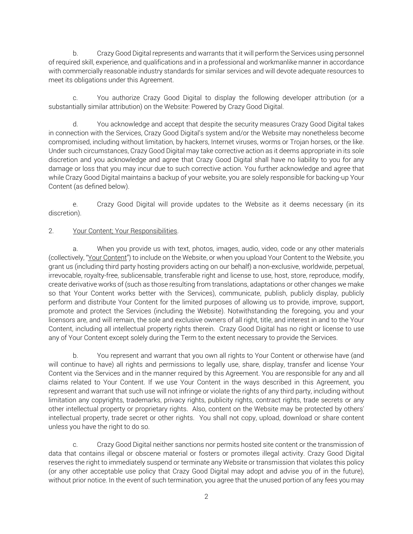b. Crazy Good Digital represents and warrants that it will perform the Services using personnel of required skill, experience, and qualifications and in a professional and workmanlike manner in accordance with commercially reasonable industry standards for similar services and will devote adequate resources to meet its obligations under this Agreement.

You authorize Crazy Good Digital to display the following developer attribution (or a substantially similar attribution) on the Website: Powered by Crazy Good Digital.

d. You acknowledge and accept that despite the security measures Crazy Good Digital takes in connection with the Services, Crazy Good Digital's system and/or the Website may nonetheless become compromised, including without limitation, by hackers, Internet viruses, worms or Trojan horses, or the like. Under such circumstances, Crazy Good Digital may take corrective action as it deems appropriate in its sole discretion and you acknowledge and agree that Crazy Good Digital shall have no liability to you for any damage or loss that you may incur due to such corrective action. You further acknowledge and agree that while Crazy Good Digital maintains a backup of your website, you are solely responsible for backing-up Your Content (as defined below).

e. Crazy Good Digital will provide updates to the Website as it deems necessary (in its discretion).

### 2. Your Content; Your Responsibilities.

a. When you provide us with text, photos, images, audio, video, code or any other materials (collectively, "Your Content") to include on the Website, or when you upload Your Content to the Website, you grant us (including third party hosting providers acting on our behalf) a non-exclusive, worldwide, perpetual, irrevocable, royalty-free, sublicensable, transferable right and license to use, host, store, reproduce, modify, create derivative works of (such as those resulting from translations, adaptations or other changes we make so that Your Content works better with the Services), communicate, publish, publicly display, publicly perform and distribute Your Content for the limited purposes of allowing us to provide, improve, support, promote and protect the Services (including the Website). Notwithstanding the foregoing, you and your licensors are, and will remain, the sole and exclusive owners of all right, title, and interest in and to the Your Content, including all intellectual property rights therein. Crazy Good Digital has no right or license to use any of Your Content except solely during the Term to the extent necessary to provide the Services.

b. You represent and warrant that you own all rights to Your Content or otherwise have (and will continue to have) all rights and permissions to legally use, share, display, transfer and license Your Content via the Services and in the manner required by this Agreement. You are responsible for any and all claims related to Your Content. If we use Your Content in the ways described in this Agreement, you represent and warrant that such use will not infringe or violate the rights of any third party, including without limitation any copyrights, trademarks, privacy rights, publicity rights, contract rights, trade secrets or any other intellectual property or proprietary rights. Also, content on the Website may be protected by others' intellectual property, trade secret or other rights. You shall not copy, upload, download or share content unless you have the right to do so.

c. Crazy Good Digital neither sanctions nor permits hosted site content or the transmission of data that contains illegal or obscene material or fosters or promotes illegal activity. Crazy Good Digital reserves the right to immediately suspend or terminate any Website or transmission that violates this policy (or any other acceptable use policy that Crazy Good Digital may adopt and advise you of in the future), without prior notice. In the event of such termination, you agree that the unused portion of any fees you may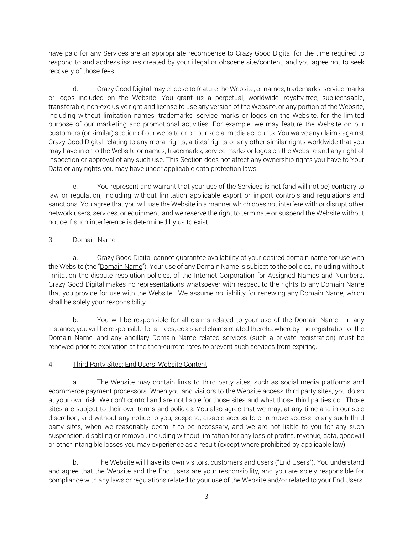have paid for any Services are an appropriate recompense to Crazy Good Digital for the time required to respond to and address issues created by your illegal or obscene site/content, and you agree not to seek recovery of those fees.

d. Crazy Good Digital may choose to feature the Website, or names, trademarks, service marks or logos included on the Website. You grant us a perpetual, worldwide, royalty-free, sublicensable, transferable, non-exclusive right and license to use any version of the Website, or any portion of the Website, including without limitation names, trademarks, service marks or logos on the Website, for the limited purpose of our marketing and promotional activities. For example, we may feature the Website on our customers (or similar) section of our website or on our social media accounts. You waive any claims against Crazy Good Digital relating to any moral rights, artists' rights or any other similar rights worldwide that you may have in or to the Website or names, trademarks, service marks or logos on the Website and any right of inspection or approval of any such use. This Section does not affect any ownership rights you have to Your Data or any rights you may have under applicable data protection laws.

e. You represent and warrant that your use of the Services is not (and will not be) contrary to law or regulation, including without limitation applicable export or import controls and regulations and sanctions. You agree that you will use the Website in a manner which does not interfere with or disrupt other network users, services, or equipment, and we reserve the right to terminate or suspend the Website without notice if such interference is determined by us to exist.

## 3. Domain Name.

a. Crazy Good Digital cannot guarantee availability of your desired domain name for use with the Website (the "Domain Name"). Your use of any Domain Name is subject to the policies, including without limitation the dispute resolution policies, of the Internet Corporation for Assigned Names and Numbers. Crazy Good Digital makes no representations whatsoever with respect to the rights to any Domain Name that you provide for use with the Website. We assume no liability for renewing any Domain Name, which shall be solely your responsibility.

b. You will be responsible for all claims related to your use of the Domain Name. In any instance, you will be responsible for all fees, costs and claims related thereto, whereby the registration of the Domain Name, and any ancillary Domain Name related services (such a private registration) must be renewed prior to expiration at the then-current rates to prevent such services from expiring.

## 4. Third Party Sites; End Users; Website Content.

a. The Website may contain links to third party sites, such as social media platforms and ecommerce payment processors. When you and visitors to the Website access third party sites, you do so at your own risk. We don't control and are not liable for those sites and what those third parties do. Those sites are subject to their own terms and policies. You also agree that we may, at any time and in our sole discretion, and without any notice to you, suspend, disable access to or remove access to any such third party sites, when we reasonably deem it to be necessary, and we are not liable to you for any such suspension, disabling or removal, including without limitation for any loss of profits, revenue, data, goodwill or other intangible losses you may experience as a result (except where prohibited by applicable law).

b. The Website will have its own visitors, customers and users ("End Users"). You understand and agree that the Website and the End Users are your responsibility, and you are solely responsible for compliance with any laws or regulations related to your use of the Website and/or related to your End Users.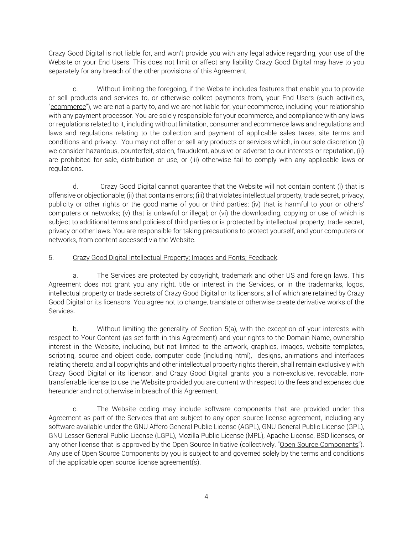Crazy Good Digital is not liable for, and won't provide you with any legal advice regarding, your use of the Website or your End Users. This does not limit or affect any liability Crazy Good Digital may have to you separately for any breach of the other provisions of this Agreement.

c. Without limiting the foregoing, if the Website includes features that enable you to provide or sell products and services to, or otherwise collect payments from, your End Users (such activities, "ecommerce"), we are not a party to, and we are not liable for, your ecommerce, including your relationship with any payment processor. You are solely responsible for your ecommerce, and compliance with any laws or regulations related to it, including without limitation, consumer and ecommerce laws and regulations and laws and regulations relating to the collection and payment of applicable sales taxes, site terms and conditions and privacy. You may not offer or sell any products or services which, in our sole discretion (i) we consider hazardous, counterfeit, stolen, fraudulent, abusive or adverse to our interests or reputation, (ii) are prohibited for sale, distribution or use, or (iii) otherwise fail to comply with any applicable laws or regulations.

d. Crazy Good Digital cannot guarantee that the Website will not contain content (i) that is offensive or objectionable; (ii) that contains errors; (iii) that violates intellectual property, trade secret, privacy, publicity or other rights or the good name of you or third parties; (iv) that is harmful to your or others' computers or networks; (v) that is unlawful or illegal; or (vi) the downloading, copying or use of which is subject to additional terms and policies of third parties or is protected by intellectual property, trade secret, privacy or other laws. You are responsible for taking precautions to protect yourself, and your computers or networks, from content accessed via the Website.

### 5. Crazy Good Digital Intellectual Property; Images and Fonts; Feedback.

a. The Services are protected by copyright, trademark and other US and foreign laws. This Agreement does not grant you any right, title or interest in the Services, or in the trademarks, logos, intellectual property or trade secrets of Crazy Good Digital or its licensors, all of which are retained by Crazy Good Digital or its licensors. You agree not to change, translate or otherwise create derivative works of the Services.

b. Without limiting the generality of Section 5(a), with the exception of your interests with respect to Your Content (as set forth in this Agreement) and your rights to the Domain Name, ownership interest in the Website, including, but not limited to the artwork, graphics, images, website templates, scripting, source and object code, computer code (including html), designs, animations and interfaces relating thereto, and all copyrights and other intellectual property rights therein, shall remain exclusively with Crazy Good Digital or its licensor, and Crazy Good Digital grants you a non-exclusive, revocable, nontransferrable license to use the Website provided you are current with respect to the fees and expenses due hereunder and not otherwise in breach of this Agreement.

c. The Website coding may include software components that are provided under this Agreement as part of the Services that are subject to any open source license agreement, including any software available under the GNU Affero General Public License (AGPL), GNU General Public License (GPL), GNU Lesser General Public License (LGPL), Mozilla Public License (MPL), Apache License, BSD licenses, or any other license that is approved by the Open Source Initiative (collectively, "Open Source Components"). Any use of Open Source Components by you is subject to and governed solely by the terms and conditions of the applicable open source license agreement(s).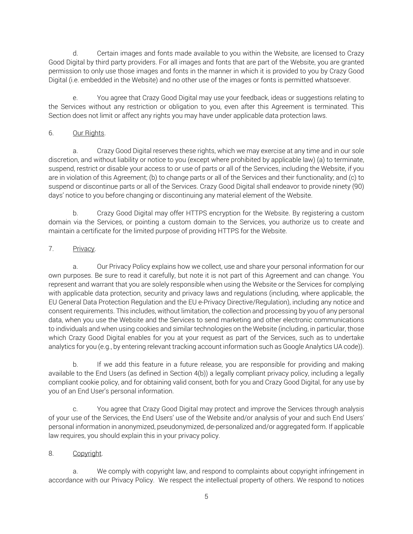d. Certain images and fonts made available to you within the Website, are licensed to Crazy Good Digital by third party providers. For all images and fonts that are part of the Website, you are granted permission to only use those images and fonts in the manner in which it is provided to you by Crazy Good Digital (i.e. embedded in the Website) and no other use of the images or fonts is permitted whatsoever.

You agree that Crazy Good Digital may use your feedback, ideas or suggestions relating to the Services without any restriction or obligation to you, even after this Agreement is terminated. This Section does not limit or affect any rights you may have under applicable data protection laws.

## 6. Our Rights.

a. Crazy Good Digital reserves these rights, which we may exercise at any time and in our sole discretion, and without liability or notice to you (except where prohibited by applicable law) (a) to terminate, suspend, restrict or disable your access to or use of parts or all of the Services, including the Website, if you are in violation of this Agreement; (b) to change parts or all of the Services and their functionality; and (c) to suspend or discontinue parts or all of the Services. Crazy Good Digital shall endeavor to provide ninety (90) days' notice to you before changing or discontinuing any material element of the Website.

b. Crazy Good Digital may offer HTTPS encryption for the Website. By registering a custom domain via the Services, or pointing a custom domain to the Services, you authorize us to create and maintain a certificate for the limited purpose of providing HTTPS for the Website.

# 7. Privacy.

a. Our Privacy Policy explains how we collect, use and share your personal information for our own purposes. Be sure to read it carefully, but note it is not part of this Agreement and can change. You represent and warrant that you are solely responsible when using the Website or the Services for complying with applicable data protection, security and privacy laws and regulations (including, where applicable, the EU General Data Protection Regulation and the EU e-Privacy Directive/Regulation), including any notice and consent requirements. This includes, without limitation, the collection and processing by you of any personal data, when you use the Website and the Services to send marketing and other electronic communications to individuals and when using cookies and similar technologies on the Website (including, in particular, those which Crazy Good Digital enables for you at your request as part of the Services, such as to undertake analytics for you (e.g., by entering relevant tracking account information such as Google Analytics UA code)).

b. If we add this feature in a future release, you are responsible for providing and making available to the End Users (as defined in Section 4(b)) a legally compliant privacy policy, including a legally compliant cookie policy, and for obtaining valid consent, both for you and Crazy Good Digital, for any use by you of an End User's personal information.

c. You agree that Crazy Good Digital may protect and improve the Services through analysis of your use of the Services, the End Users' use of the Website and/or analysis of your and such End Users' personal information in anonymized, pseudonymized, de-personalized and/or aggregated form. If applicable law requires, you should explain this in your privacy policy.

## 8. Copyright.

a. We comply with copyright law, and respond to complaints about copyright infringement in accordance with our Privacy Policy. We respect the intellectual property of others. We respond to notices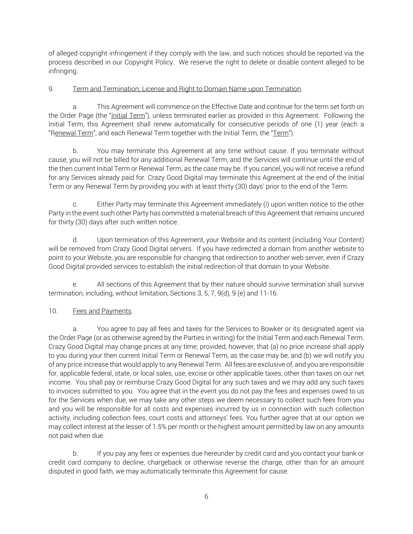of alleged copyright infringement if they comply with the law, and such notices should be reported via the process described in our Copyright Policy. We reserve the right to delete or disable content alleged to be infringing.

### 9. Term and Termination; License and Right to Domain Name upon Termination.

a. This Agreement will commence on the Effective Date and continue for the term set forth on the Order Page (the "Initial Term"), unless terminated earlier as provided in this Agreement. Following the Initial Term, this Agreement shall renew automatically for consecutive periods of one (1) year (each a "Renewal Term", and each Renewal Term together with the Initial Term, the "Term").

b. You may terminate this Agreement at any time without cause. If you terminate without cause, you will not be billed for any additional Renewal Term, and the Services will continue until the end of the then current Initial Term or Renewal Term, as the case may be. If you cancel, you will not receive a refund for any Services already paid for. Crazy Good Digital may terminate this Agreement at the end of the Initial Term or any Renewal Term by providing you with at least thirty (30) days' prior to the end of the Term.

c. Either Party may terminate this Agreement immediately (i) upon written notice to the other Party in the event such other Party has committed a material breach of this Agreement that remains uncured for thirty (30) days after such written notice.

d. Upon termination of this Agreement, your Website and its content (including Your Content) will be removed from Crazy Good Digital servers. If you have redirected a domain from another website to point to your Website, you are responsible for changing that redirection to another web server, even if Crazy Good Digital provided services to establish the initial redirection of that domain to your Website.

e. All sections of this Agreement that by their nature should survive termination shall survive termination, including, without limitation, Sections 3, 5, 7, 9(d), 9 (e) and 11-16.

## 10. Fees and Payments.

a. You agree to pay all fees and taxes for the Services to Bowker or its designated agent via the Order Page (or as otherwise agreed by the Parties in writing) for the Initial Term and each Renewal Term. Crazy Good Digital may change prices at any time; provided, however, that (a) no price increase shall apply to you during your then current Initial Term or Renewal Term, as the case may be, and (b) we will notify you of any price increase that would apply to any Renewal Term. All fees are exclusive of, and you are responsible for, applicable federal, state, or local sales, use, excise or other applicable taxes, other than taxes on our net income. You shall pay or reimburse Crazy Good Digital for any such taxes and we may add any such taxes to invoices submitted to you. You agree that in the event you do not pay the fees and expenses owed to us for the Services when due, we may take any other steps we deem necessary to collect such fees from you and you will be responsible for all costs and expenses incurred by us in connection with such collection activity, including collection fees, court costs and attorneys' fees. You further agree that at our option we may collect interest at the lesser of 1.5% per month or the highest amount permitted by law on any amounts not paid when due.

b. If you pay any fees or expenses due hereunder by credit card and you contact your bank or credit card company to decline, chargeback or otherwise reverse the charge, other than for an amount disputed in good faith, we may automatically terminate this Agreement for cause.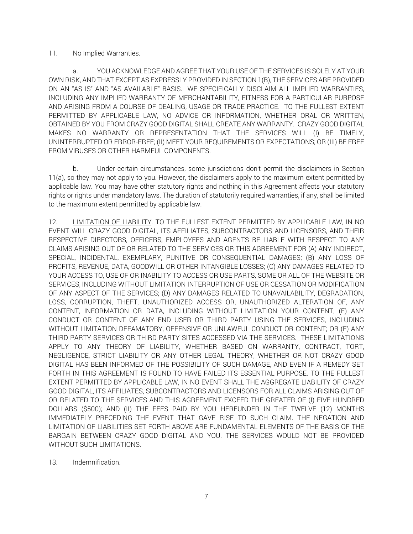#### 11. No Implied Warranties.

YOU ACKNOWLEDGE AND AGREE THAT YOUR USE OF THE SERVICES IS SOLELY AT YOUR OWN RISK, AND THAT EXCEPT AS EXPRESSLY PROVIDED IN SECTION 1(B), THE SERVICES ARE PROVIDED ON AN "AS IS" AND "AS AVAILABLE" BASIS. WE SPECIFICALLY DISCLAIM ALL IMPLIED WARRANTIES, INCLUDING ANY IMPLIED WARRANTY OF MERCHANTABILITY, FITNESS FOR A PARTICULAR PURPOSE AND ARISING FROM A COURSE OF DEALING, USAGE OR TRADE PRACTICE. TO THE FULLEST EXTENT PERMITTED BY APPLICABLE LAW, NO ADVICE OR INFORMATION, WHETHER ORAL OR WRITTEN, OBTAINED BY YOU FROM CRAZY GOOD DIGITAL SHALL CREATE ANY WARRANTY. CRAZY GOOD DIGITAL MAKES NO WARRANTY OR REPRESENTATION THAT THE SERVICES WILL (I) BE TIMELY, UNINTERRUPTED OR ERROR-FREE; (II) MEET YOUR REQUIREMENTS OR EXPECTATIONS; OR (III) BE FREE FROM VIRUSES OR OTHER HARMFUL COMPONENTS.

b. Under certain circumstances, some jurisdictions don't permit the disclaimers in Section 11(a), so they may not apply to you. However, the disclaimers apply to the maximum extent permitted by applicable law. You may have other statutory rights and nothing in this Agreement affects your statutory rights or rights under mandatory laws. The duration of statutorily required warranties, if any, shall be limited to the maximum extent permitted by applicable law.

12. LIMITATION OF LIABILITY. TO THE FULLEST EXTENT PERMITTED BY APPLICABLE LAW, IN NO EVENT WILL CRAZY GOOD DIGITAL, ITS AFFILIATES, SUBCONTRACTORS AND LICENSORS, AND THEIR RESPECTIVE DIRECTORS, OFFICERS, EMPLOYEES AND AGENTS BE LIABLE WITH RESPECT TO ANY CLAIMS ARISING OUT OF OR RELATED TO THE SERVICES OR THIS AGREEMENT FOR (A) ANY INDIRECT, SPECIAL, INCIDENTAL, EXEMPLARY, PUNITIVE OR CONSEQUENTIAL DAMAGES; (B) ANY LOSS OF PROFITS, REVENUE, DATA, GOODWILL OR OTHER INTANGIBLE LOSSES; (C) ANY DAMAGES RELATED TO YOUR ACCESS TO, USE OF OR INABILITY TO ACCESS OR USE PARTS, SOME OR ALL OF THE WEBSITE OR SERVICES, INCLUDING WITHOUT LIMITATION INTERRUPTION OF USE OR CESSATION OR MODIFICATION OF ANY ASPECT OF THE SERVICES; (D) ANY DAMAGES RELATED TO UNAVAILABILITY, DEGRADATION, LOSS, CORRUPTION, THEFT, UNAUTHORIZED ACCESS OR, UNAUTHORIZED ALTERATION OF, ANY CONTENT, INFORMATION OR DATA, INCLUDING WITHOUT LIMITATION YOUR CONTENT; (E) ANY CONDUCT OR CONTENT OF ANY END USER OR THIRD PARTY USING THE SERVICES, INCLUDING WITHOUT LIMITATION DEFAMATORY, OFFENSIVE OR UNLAWFUL CONDUCT OR CONTENT; OR (F) ANY THIRD PARTY SERVICES OR THIRD PARTY SITES ACCESSED VIA THE SERVICES. THESE LIMITATIONS APPLY TO ANY THEORY OF LIABILITY, WHETHER BASED ON WARRANTY, CONTRACT, TORT, NEGLIGENCE, STRICT LIABILITY OR ANY OTHER LEGAL THEORY, WHETHER OR NOT CRAZY GOOD DIGITAL HAS BEEN INFORMED OF THE POSSIBILITY OF SUCH DAMAGE, AND EVEN IF A REMEDY SET FORTH IN THIS AGREEMENT IS FOUND TO HAVE FAILED ITS ESSENTIAL PURPOSE. TO THE FULLEST EXTENT PERMITTED BY APPLICABLE LAW, IN NO EVENT SHALL THE AGGREGATE LIABILITY OF CRAZY GOOD DIGITAL, ITS AFFILIATES, SUBCONTRACTORS AND LICENSORS FOR ALL CLAIMS ARISING OUT OF OR RELATED TO THE SERVICES AND THIS AGREEMENT EXCEED THE GREATER OF (I) FIVE HUNDRED DOLLARS (\$500); AND (II) THE FEES PAID BY YOU HEREUNDER IN THE TWELVE (12) MONTHS IMMEDIATELY PRECEDING THE EVENT THAT GAVE RISE TO SUCH CLAIM. THE NEGATION AND LIMITATION OF LIABILITIES SET FORTH ABOVE ARE FUNDAMENTAL ELEMENTS OF THE BASIS OF THE BARGAIN BETWEEN CRAZY GOOD DIGITAL AND YOU. THE SERVICES WOULD NOT BE PROVIDED WITHOUT SUCH LIMITATIONS.

13. Indemnification.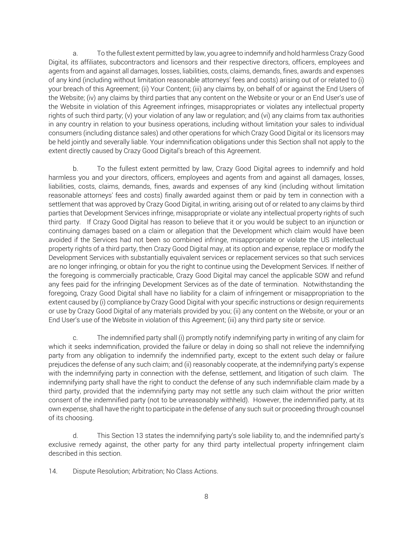a. To the fullest extent permitted by law, you agree to indemnify and hold harmless Crazy Good Digital, its affiliates, subcontractors and licensors and their respective directors, officers, employees and agents from and against all damages, losses, liabilities, costs, claims, demands, fines, awards and expenses of any kind (including without limitation reasonable attorneys' fees and costs) arising out of or related to (i) your breach of this Agreement; (ii) Your Content; (iii) any claims by, on behalf of or against the End Users of the Website; (iv) any claims by third parties that any content on the Website or your or an End User's use of the Website in violation of this Agreement infringes, misappropriates or violates any intellectual property rights of such third party; (v) your violation of any law or regulation; and (vi) any claims from tax authorities in any country in relation to your business operations, including without limitation your sales to individual consumers (including distance sales) and other operations for which Crazy Good Digital or its licensors may be held jointly and severally liable. Your indemnification obligations under this Section shall not apply to the extent directly caused by Crazy Good Digital's breach of this Agreement.

b. To the fullest extent permitted by law, Crazy Good Digital agrees to indemnify and hold harmless you and your directors, officers, employees and agents from and against all damages, losses, liabilities, costs, claims, demands, fines, awards and expenses of any kind (including without limitation reasonable attorneys' fees and costs) finally awarded against them or paid by tem in connection with a settlement that was approved by Crazy Good Digital, in writing, arising out of or related to any claims by third parties that Development Services infringe, misappropriate or violate any intellectual property rights of such third party. If Crazy Good Digital has reason to believe that it or you would be subject to an injunction or continuing damages based on a claim or allegation that the Development which claim would have been avoided if the Services had not been so combined infringe, misappropriate or violate the US intellectual property rights of a third party, then Crazy Good Digital may, at its option and expense, replace or modify the Development Services with substantially equivalent services or replacement services so that such services are no longer infringing, or obtain for you the right to continue using the Development Services. If neither of the foregoing is commercially practicable, Crazy Good Digital may cancel the applicable SOW and refund any fees paid for the infringing Development Services as of the date of termination. Notwithstanding the foregoing, Crazy Good Digital shall have no liability for a claim of infringement or misappropriation to the extent caused by (i) compliance by Crazy Good Digital with your specific instructions or design requirements or use by Crazy Good Digital of any materials provided by you; (ii) any content on the Website, or your or an End User's use of the Website in violation of this Agreement; (iii) any third party site or service.

c. The indemnified party shall (i) promptly notify indemnifying party in writing of any claim for which it seeks indemnification, provided the failure or delay in doing so shall not relieve the indemnifying party from any obligation to indemnify the indemnified party, except to the extent such delay or failure prejudices the defense of any such claim; and (ii) reasonably cooperate, at the indemnifying party's expense with the indemnifying party in connection with the defense, settlement, and litigation of such claim. The indemnifying party shall have the right to conduct the defense of any such indemnifiable claim made by a third party, provided that the indemnifying party may not settle any such claim without the prior written consent of the indemnified party (not to be unreasonably withheld). However, the indemnified party, at its own expense, shall have the right to participate in the defense of any such suit or proceeding through counsel of its choosing.

d. This Section 13 states the indemnifying party's sole liability to, and the indemnified party's exclusive remedy against, the other party for any third party intellectual property infringement claim described in this section.

14. Dispute Resolution; Arbitration; No Class Actions.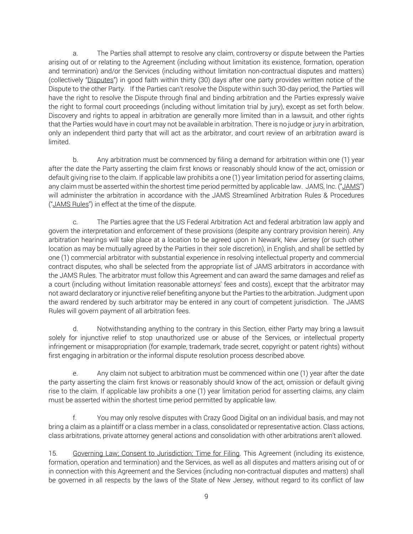a. The Parties shall attempt to resolve any claim, controversy or dispute between the Parties arising out of or relating to the Agreement (including without limitation its existence, formation, operation and termination) and/or the Services (including without limitation non-contractual disputes and matters) (collectively "Disputes") in good faith within thirty (30) days after one party provides written notice of the Dispute to the other Party. If the Parties can't resolve the Dispute within such 30-day period, the Parties will have the right to resolve the Dispute through final and binding arbitration and the Parties expressly waive the right to formal court proceedings (including without limitation trial by jury), except as set forth below. Discovery and rights to appeal in arbitration are generally more limited than in a lawsuit, and other rights that the Parties would have in court may not be available in arbitration. There is no judge or jury in arbitration, only an independent third party that will act as the arbitrator, and court review of an arbitration award is limited.

b. Any arbitration must be commenced by filing a demand for arbitration within one (1) year after the date the Party asserting the claim first knows or reasonably should know of the act, omission or default giving rise to the claim. If applicable law prohibits a one (1) year limitation period for asserting claims, any claim must be asserted within the shortest time period permitted by applicable law. JAMS, Inc. ("JAMS") will administer the arbitration in accordance with the JAMS Streamlined Arbitration Rules & Procedures ("JAMS Rules") in effect at the time of the dispute.

c. The Parties agree that the US Federal Arbitration Act and federal arbitration law apply and govern the interpretation and enforcement of these provisions (despite any contrary provision herein). Any arbitration hearings will take place at a location to be agreed upon in Newark, New Jersey (or such other location as may be mutually agreed by the Parties in their sole discretion), in English, and shall be settled by one (1) commercial arbitrator with substantial experience in resolving intellectual property and commercial contract disputes, who shall be selected from the appropriate list of JAMS arbitrators in accordance with the JAMS Rules. The arbitrator must follow this Agreement and can award the same damages and relief as a court (including without limitation reasonable attorneys' fees and costs), except that the arbitrator may not award declaratory or injunctive relief benefiting anyone but the Parties to the arbitration. Judgment upon the award rendered by such arbitrator may be entered in any court of competent jurisdiction. The JAMS Rules will govern payment of all arbitration fees.

d. Notwithstanding anything to the contrary in this Section, either Party may bring a lawsuit solely for injunctive relief to stop unauthorized use or abuse of the Services, or intellectual property infringement or misappropriation (for example, trademark, trade secret, copyright or patent rights) without first engaging in arbitration or the informal dispute resolution process described above.

e. Any claim not subject to arbitration must be commenced within one (1) year after the date the party asserting the claim first knows or reasonably should know of the act, omission or default giving rise to the claim. If applicable law prohibits a one (1) year limitation period for asserting claims, any claim must be asserted within the shortest time period permitted by applicable law.

f. You may only resolve disputes with Crazy Good Digital on an individual basis, and may not bring a claim as a plaintiff or a class member in a class, consolidated or representative action. Class actions, class arbitrations, private attorney general actions and consolidation with other arbitrations aren't allowed.

15. Governing Law; Consent to Jurisdiction; Time for Filing. This Agreement (including its existence, formation, operation and termination) and the Services, as well as all disputes and matters arising out of or in connection with this Agreement and the Services (including non-contractual disputes and matters) shall be governed in all respects by the laws of the State of New Jersey, without regard to its conflict of law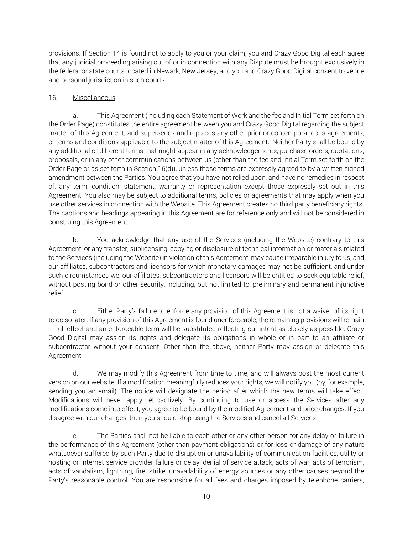provisions. If Section 14 is found not to apply to you or your claim, you and Crazy Good Digital each agree that any judicial proceeding arising out of or in connection with any Dispute must be brought exclusively in the federal or state courts located in Newark, New Jersey, and you and Crazy Good Digital consent to venue and personal jurisdiction in such courts.

### 16. Miscellaneous.

a. This Agreement (including each Statement of Work and the fee and Initial Term set forth on the Order Page) constitutes the entire agreement between you and Crazy Good Digital regarding the subject matter of this Agreement, and supersedes and replaces any other prior or contemporaneous agreements, or terms and conditions applicable to the subject matter of this Agreement. Neither Party shall be bound by any additional or different terms that might appear in any acknowledgements, purchase orders, quotations, proposals, or in any other communications between us (other than the fee and Initial Term set forth on the Order Page or as set forth in Section 16(d)), unless those terms are expressly agreed to by a written signed amendment between the Parties. You agree that you have not relied upon, and have no remedies in respect of, any term, condition, statement, warranty or representation except those expressly set out in this Agreement. You also may be subject to additional terms, policies or agreements that may apply when you use other services in connection with the Website. This Agreement creates no third party beneficiary rights. The captions and headings appearing in this Agreement are for reference only and will not be considered in construing this Agreement.

b. You acknowledge that any use of the Services (including the Website) contrary to this Agreement, or any transfer, sublicensing, copying or disclosure of technical information or materials related to the Services (including the Website) in violation of this Agreement, may cause irreparable injury to us, and our affiliates, subcontractors and licensors for which monetary damages may not be sufficient, and under such circumstances we, our affiliates, subcontractors and licensors will be entitled to seek equitable relief, without posting bond or other security, including, but not limited to, preliminary and permanent injunctive relief.

c. Either Party's failure to enforce any provision of this Agreement is not a waiver of its right to do so later. If any provision of this Agreement is found unenforceable, the remaining provisions will remain in full effect and an enforceable term will be substituted reflecting our intent as closely as possible. Crazy Good Digital may assign its rights and delegate its obligations in whole or in part to an affiliate or subcontractor without your consent. Other than the above, neither Party may assign or delegate this Agreement.

d. We may modify this Agreement from time to time, and will always post the most current version on our website. If a modification meaningfully reduces your rights, we will notify you (by, for example, sending you an email). The notice will designate the period after which the new terms will take effect. Modifications will never apply retroactively. By continuing to use or access the Services after any modifications come into effect, you agree to be bound by the modified Agreement and price changes. If you disagree with our changes, then you should stop using the Services and cancel all Services.

e. The Parties shall not be liable to each other or any other person for any delay or failure in the performance of this Agreement (other than payment obligations) or for loss or damage of any nature whatsoever suffered by such Party due to disruption or unavailability of communication facilities, utility or hosting or Internet service provider failure or delay, denial of service attack, acts of war, acts of terrorism, acts of vandalism, lightning, fire, strike, unavailability of energy sources or any other causes beyond the Party's reasonable control. You are responsible for all fees and charges imposed by telephone carriers,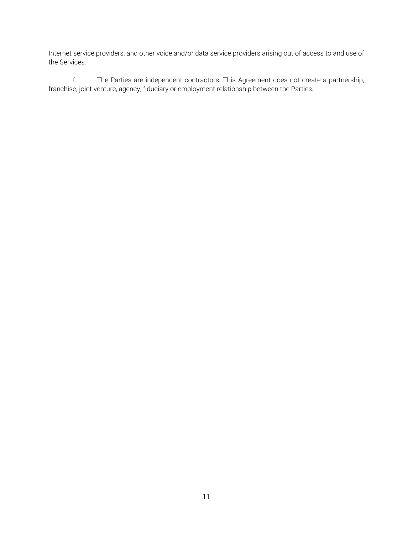Internet service providers, and other voice and/or data service providers arising out of access to and use of the Services.

f. The Parties are independent contractors. This Agreement does not create a partnership, franchise, joint venture, agency, fiduciary or employment relationship between the Parties.